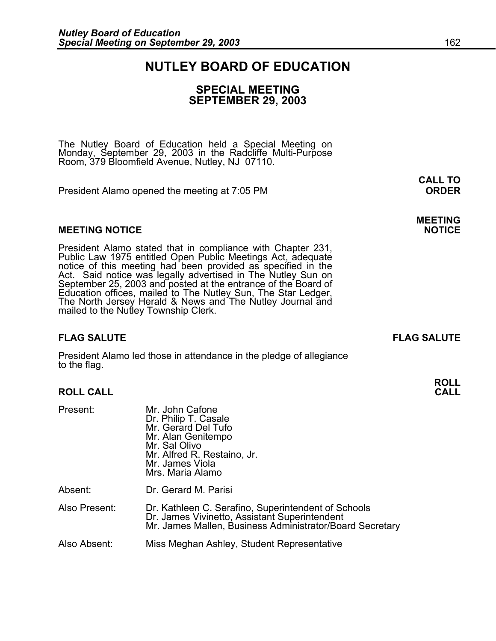# **NUTLEY BOARD OF EDUCATION**

### **SPECIAL MEETING SEPTEMBER 29, 2003**

The Nutley Board of Education held a Special Meeting on Monday, September 29, 2003 in the Radcliffe Multi-Purpose Room, 379 Bloomfield Avenue, Nutley, NJ 07110.

President Alamo opened the meeting at 7:05 PM **ORDER**

### **MEETING NOTICE NOTICE REPORTS AND ALCOHOL**

President Alamo stated that in compliance with Chapter 231,<br>Public Law 1975 entitled Open Public Meetings Act, adequate<br>notice of this meeting had been provided as specified in the<br>Act. Said notice was legally advertised i September 25, 2003 and posted at the entrance of the Board of Education offices, mailed to The Nutley Sun, The Star Ledger,<br>The North Jersey Herald & News and The Nutley Journal and<br>mailed to the Nutley Township Clerk.

# **FLAG SALUTE FLAG SALUTE**

President Alamo led those in attendance in the pledge of allegiance to the flag.

# **ROLL CALL**

| Present:      | Mr. John Cafone<br>Dr. Philip T. Casale<br>Mr. Gerard Del Tufo<br>Mr. Alan Genitempo<br>Mr. Sal Olivo<br>Mr. Alfred R. Restaino, Jr.<br>Mr. James Viola<br>Mrs. Maria Alamo |
|---------------|-----------------------------------------------------------------------------------------------------------------------------------------------------------------------------|
| Absent:       | Dr. Gerard M. Parisi                                                                                                                                                        |
| Also Present: | Dr. Kathleen C. Serafino, Superintendent of Schools<br>Dr. James Vivinetto, Assistant Superintendent<br>Mr. James Mallen, Business Administrator/Board Secretary            |
| Also Absent:  | Miss Meghan Ashley, Student Representative                                                                                                                                  |

**CALL TO** 

# **MEETING**

**ROLL**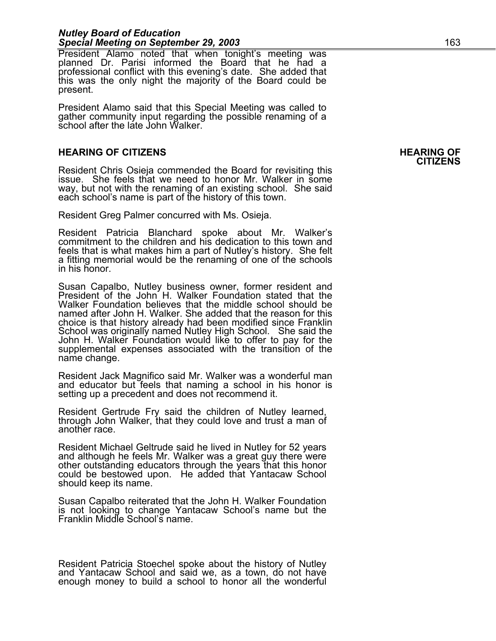### *Nutley Board of Education Special Meeting on September 29, 2003* 163

President Alamo noted that when tonight's meeting was planned Dr. Parisi informed the Board that he had a professional conflict with this evening's date. She added that this was the only night the majority of the Board could be present.

President Alamo said that this Special Meeting was called to gather community input regarding the possible renaming of a school after the late John Walker.

# **HEARING OF CITIZENS HEARING OF CITIZENS**

Resident Chris Osieja commended the Board for revisiting this issue. She feels that we need to honor Mr. Walker in some way, but not with the renaming of an existing school. She said each school's name is part of the history of this town.

Resident Greg Palmer concurred with Ms. Osieja.

Resident Patricia Blanchard spoke about Mr. Walker's commitment to the children and his dedication to this town and feels that is what makes him a part of Nutley's history. She felt a fitting memorial would be the renaming of one of the schools in his honor.

Susan Capalbo, Nutley business owner, former resident and President of the John H. Walker Foundation stated that the Walker Foundation believes that the middle school should be named after John H. Walker. She added that the reason for this choice is that history already had been modified since Franklin School was originally named Nutley High School. She said the<br>John H. Walker Foundation would like to offer to pay for the<br>supplemental expenses associated with the transition of the name change.

Resident Jack Magnifico said Mr. Walker was a wonderful man and educator but feels that naming a school in his honor is setting up a precedent and does not recommend it.

Resident Gertrude Fry said the children of Nutley learned, through John Walker, that they could love and trust a man of another race.

Resident Michael Geltrude said he lived in Nutley for 52 years<br>and although he feels Mr. Walker was a great guy there were<br>other outstanding educators through the years that this honor<br>could be bestowed upon. He added that should keep its name.

Susan Capalbo reiterated that the John H. Walker Foundation is not looking to change Yantacaw School's name but the Franklin Middle School's name.

Resident Patricia Stoechel spoke about the history of Nutley and Yantacaw School and said we, as a town, do not have enough money to build a school to honor all the wonderful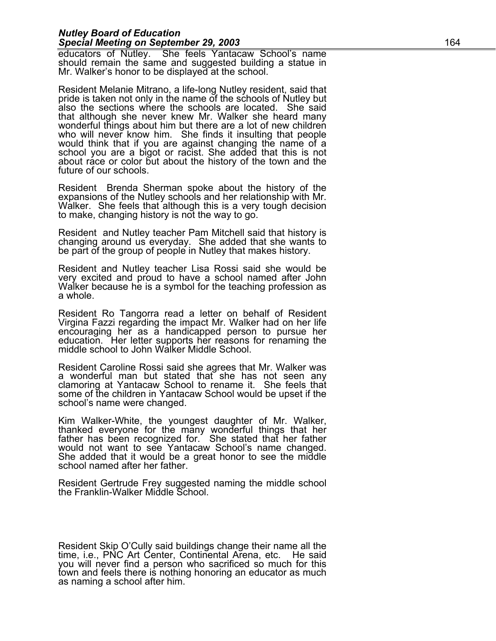#### *Nutley Board of Education*  **Special Meeting on September 29, 2003 164**

educators of Nutley. She feels Yantacaw School's name should remain the same and suggested building a statue in Mr. Walker's honor to be displayed at the school.

Resident Melanie Mitrano, a life-long Nutley resident, said that pride is taken not only in the name of the schools of Nutley but also the sections where the schools are located. She said that although she never knew Mr. W wonderful things about him but there are a lot of new children who will never know him. She finds it insulting that people would think that if you are against changing the name of a school you are a bigot or racist. She added that this is not about race or color but about the history of the town and the future of our schools.

Resident Brenda Sherman spoke about the history of the expansions of the Nutley schools and her relationship with Mr. Walker. She feels that although this is a very tough decision to make, changing history is not the way t

Resident and Nutley teacher Pam Mitchell said that history is changing around us everyday. She added that she wants to be part of the group of people in Nutley that makes history.

Resident and Nutley teacher Lisa Rossi said she would be very excited and proud to have a school named after John Walker because he is a symbol for the teaching profession as<br>a whole.

Resident Ro Tangorra read a letter on behalf of Resident Virgina Fazzi regarding the impact Mr. Walker had on her life encouraging her as a handicapped person to pursue her education. Her letter supports her reasons for renaming the<br>middle school to John Walker Middle School.

Resident Caroline Rossi said she agrees that Mr. Walker was a wonderful man but stated that she has not seen any clamoring at Yantacaw School to rename it. She feels that some of the children in Yantacaw School would be upset if the school's name were changed.

Kim Walker-White, the youngest daughter of Mr. Walker,<br>thanked everyone for the many wonderful things that her<br>father has been recognized for. She stated that her father would not want to see Yantacaw School's name changed. She added that it would be a great honor to see the middle school named after her father.

Resident Gertrude Frey suggested naming the middle school the Franklin-Walker Middle School.

Resident Skip O'Cully said buildings change their name all the time, i.e., PNC Art Center, Continental Arena, etc. He said you will never find a person who sacrificed so much for this town and feels there is nothing honoring an educator as much as naming a school after him.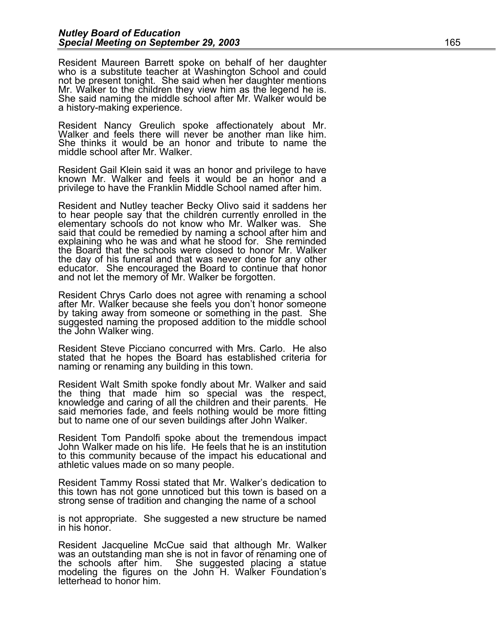Resident Maureen Barrett spoke on behalf of her daughter<br>who is a substitute teacher at Washington School and could<br>not be present tonight. She said when her daughter mentions<br>Mr. Walker to the children they view him as th a history-making experience.

Resident Nancy Greulich spoke affectionately about Mr. Walker and feels there will never be another man like him. She thinks it would be an honor and tribute to name the middle school after Mr. Walker.

Resident Gail Klein said it was an honor and privilege to have known Mr. Walker and feels it would be an honor and a privilege to have the Franklin Middle School named after him.

Resident and Nutley teacher Becky Olivo said it saddens her to hear people say that the children currently enrolled in the elementary schools do not know who Mr. Walker was. She said that could be remedied by naming a school after him and explaining who he was and what he stood for. She reminded the Board that the schools were closed to honor Mr. Walker the day of his funeral and that was never done for any other the day of his funeral and that was never done for any other educator. She encouraged the Board to continue that honor and not let the memory of Mr. Walker be forgotten.

Resident Chrys Carlo does not agree with renaming a school after Mr. Walker because she feels you don't honor someone by taking away from someone or something in the past. She suggested naming the proposed addition to the middle school the John Walker wing.

Resident Steve Picciano concurred with Mrs. Carlo. He also stated that he hopes the Board has established criteria for naming or renaming any building in this town.

Resident Walt Smith spoke fondly about Mr. Walker and said the thing that made him so special was the respect, knowledge and caring of all the children and their parents. He said memories fade, and feels nothing would be more fitting but to name one of our seven buildings after John Walker.

Resident Tom Pandolfi spoke about the tremendous impact John Walker made on his life. He feels that he is an institution to this community because of the impact his educational and athletic values made on so many people.

Resident Tammy Rossi stated that Mr. Walker's dedication to this town has not gone unnoticed but this town is based on a strong sense of tradition and changing the name of a school

is not appropriate. She suggested a new structure be named in his honor.

Resident Jacqueline McCue said that although Mr. Walker<br>was an outstanding man she is not in favor of renaming one of<br>the schools after him. She suggested placing a statue<br>modeling the figures on the John H. Walker Foundat letterhead to honor him.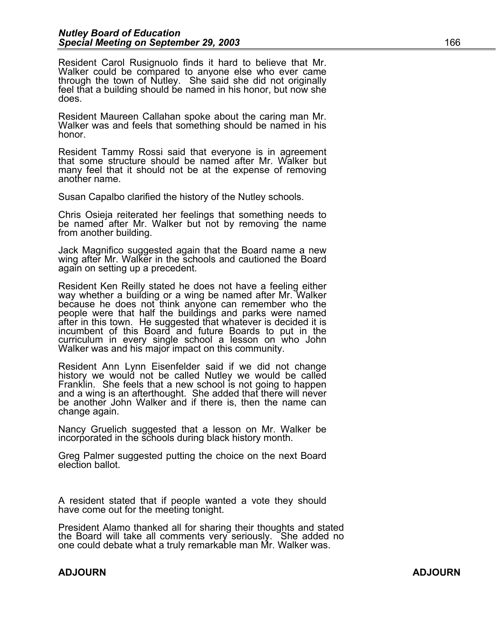Resident Carol Rusignuolo finds it hard to believe that Mr. Walker could be compared to anyone else who ever came through the town of Nutley. She said she did not originally feel that a building should be named in his honor, but now she does.

Resident Maureen Callahan spoke about the caring man Mr. Walker was and feels that something should be named in his honor.

Resident Tammy Rossi said that everyone is in agreement that some structure should be named after Mr. Walker but many feel that it should not be at the expense of removing another name.

Susan Capalbo clarified the history of the Nutley schools.

Chris Osieja reiterated her feelings that something needs to be named after Mr. Walker but not by removing the name from another building.

Jack Magnifico suggested again that the Board name a new wing after Mr. Walker in the schools and cautioned the Board again on setting up a precedent.

Resident Ken Reilly stated he does not have a feeling either way whether a building or a wing be named after Mr. Walker because he does not think anyone can remember who the people were that half the buildings and parks were named after in this town. He suggested that whatever is decided it is incumbent of this Board and future Boards to put in the curriculum in every single school a lesson on who John Walker was and his major impact on this community.

Resident Ann Lynn Eisenfelder said if we did not change history we would not be called Nutley we would be called Franklin. She feels that a new school is not going to happen and a wing is an afterthought. She added that there will never be another John Walker and if there is, then the name can change again.

Nancy Gruelich suggested that a lesson on Mr. Walker be incorporated in the schools during black history month.

Greg Palmer suggested putting the choice on the next Board election ballot.

A resident stated that if people wanted a vote they should have come out for the meeting tonight.

President Alamo thanked all for sharing their thoughts and stated the Board will take all comments very seriously. She added no one could debate what a truly remarkable man Mr. Walker was.

### **ADJOURN ADJOURN**